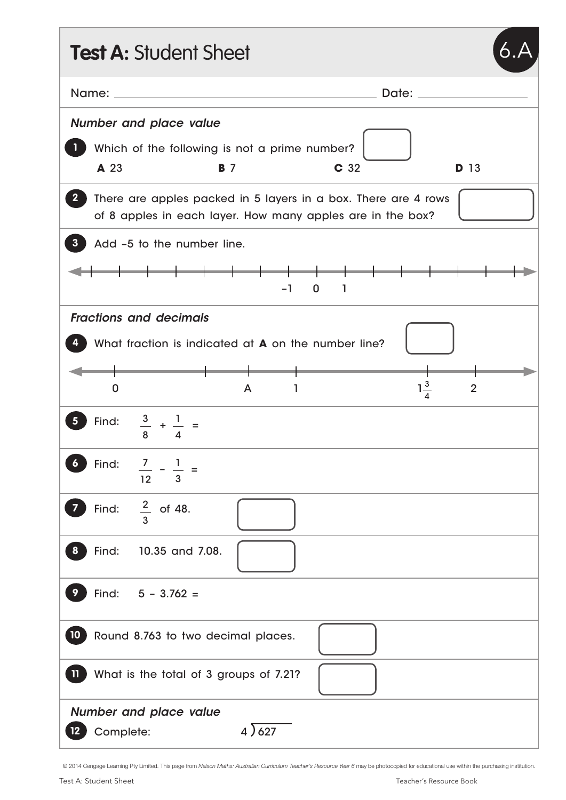| <b>Test A: Student Sheet</b>                               |                                                                                                                              |
|------------------------------------------------------------|------------------------------------------------------------------------------------------------------------------------------|
|                                                            | Date: <u>Date:</u>                                                                                                           |
| Number and place value                                     |                                                                                                                              |
| Which of the following is not a prime number?              |                                                                                                                              |
| A 23<br><b>B</b> 7                                         | C 32<br><b>D</b> 13                                                                                                          |
| $\mathbf{2}^-$                                             | There are apples packed in 5 layers in a box. There are 4 rows<br>of 8 apples in each layer. How many apples are in the box? |
| Add -5 to the number line.<br>З.                           |                                                                                                                              |
|                                                            | — <del>—————————————</del><br>$-1$<br>$0 \quad 1$                                                                            |
| <b>Fractions and decimals</b>                              |                                                                                                                              |
| What fraction is indicated at <b>A</b> on the number line? |                                                                                                                              |
| 0<br>A                                                     | $1\frac{3}{4}$<br>$\overline{2}$<br>1                                                                                        |
| $\frac{3}{8} + \frac{1}{4} =$<br>Find:                     |                                                                                                                              |
| Find:<br>$\frac{7}{3} - \frac{1}{3} =$<br>$\boldsymbol{6}$ |                                                                                                                              |
| Find: $\frac{2}{3}$ of 48.                                 |                                                                                                                              |
| Find:<br>10.35 and 7.08.<br>8                              |                                                                                                                              |
| Find:<br>$5 - 3.762 =$                                     |                                                                                                                              |
| 10 <sub>1</sub><br>Round 8.763 to two decimal places.      |                                                                                                                              |
| What is the total of 3 groups of 7.21?<br>$\mathbf{u}$     |                                                                                                                              |
| Number and place value<br>4)627<br>Complete:               |                                                                                                                              |

© 2014 Cengage Learning Pty Limited. This page from *Nelson Maths: Australian Curriculum Teacher's Resource Year 6* may be photocopied for educational use within the purchasing institution.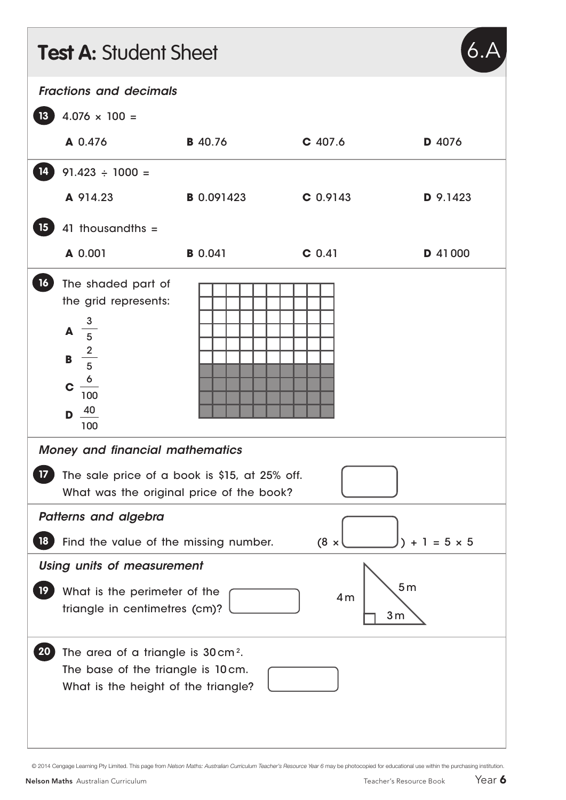| <b>Test A: Student Sheet</b>                                                                                                        |                                                                                                                                                |                   |            |          |  |
|-------------------------------------------------------------------------------------------------------------------------------------|------------------------------------------------------------------------------------------------------------------------------------------------|-------------------|------------|----------|--|
| <b>Fractions and decimals</b>                                                                                                       |                                                                                                                                                |                   |            |          |  |
| 13 <sup>7</sup>                                                                                                                     | $4.076 \times 100 =$                                                                                                                           |                   |            |          |  |
|                                                                                                                                     | A 0.476                                                                                                                                        | <b>B</b> 40.76    | $C$ 407.6  | D 4076   |  |
| 14                                                                                                                                  | $91.423 \div 1000 =$                                                                                                                           |                   |            |          |  |
|                                                                                                                                     | A 914.23                                                                                                                                       | <b>B</b> 0.091423 | $C$ 0.9143 | D 9.1423 |  |
| 15 <sub>15</sub>                                                                                                                    | 41 thousandths $=$                                                                                                                             |                   |            |          |  |
|                                                                                                                                     | A 0.001                                                                                                                                        | <b>B</b> 0.041    | $C$ 0.41   | D 41000  |  |
| 16                                                                                                                                  | The shaded part of<br>the grid represents:<br><b>A</b> $\frac{3}{5}$<br><b>B</b> $\frac{2}{5}$<br>$c \frac{6}{100}$<br>$D \frac{40}{ }$<br>100 |                   |            |          |  |
| <b>Money and financial mathematics</b><br>The sale price of a book is \$15, at 25% off.<br>What was the original price of the book? |                                                                                                                                                |                   |            |          |  |
| Patterns and algebra                                                                                                                |                                                                                                                                                |                   |            |          |  |
| $(8 \times$<br>$+1 = 5 \times 5$<br>Find the value of the missing number.<br>18                                                     |                                                                                                                                                |                   |            |          |  |
| <b>Using units of measurement</b>                                                                                                   |                                                                                                                                                |                   |            |          |  |
| 19                                                                                                                                  | 5 <sub>m</sub><br>What is the perimeter of the<br>4m<br>triangle in centimetres (cm)?<br>3 <sub>m</sub>                                        |                   |            |          |  |
| <b>20</b>                                                                                                                           | The area of a triangle is 30 cm <sup>2</sup> .<br>The base of the triangle is 10cm.<br>What is the height of the triangle?                     |                   |            |          |  |

© 2014 Cengage Learning Pty Limited. This page from *Nelson Maths: Australian Curriculum Teacher's Resource Year 6* may be photocopied for educational use within the purchasing institution.